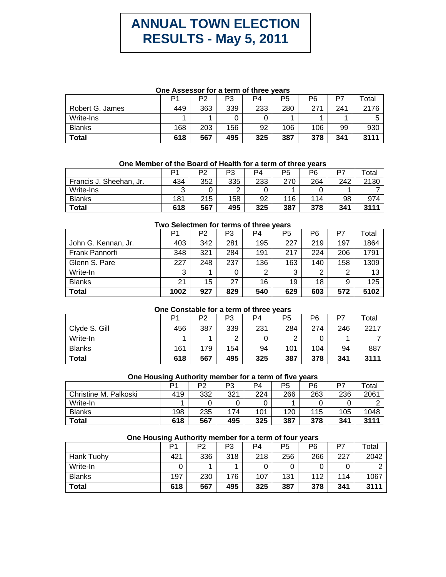# **ANNUAL TOWN ELECTION RESULTS - May 5, 2011**

#### **One Assessor for a term of three years**

|                 | D1  | P2  | P3  | P4  | P5  | P6  | P7  | Total |
|-----------------|-----|-----|-----|-----|-----|-----|-----|-------|
| Robert G. James | 449 | 363 | 339 | 233 | 280 | 271 | 241 | 2176  |
| Write-Ins       |     |     |     |     |     |     |     |       |
| <b>Blanks</b>   | 168 | 203 | 156 | 92  | 106 | 106 | 99  | 930   |
| <b>Total</b>    | 618 | 567 | 495 | 325 | 387 | 378 | 341 | 3111  |

#### **One Member of the Board of Health for a term of three years**

|                         | ٥٠  | P2  | פם     | P4  | P5  | P6  | P7  | ™otal |
|-------------------------|-----|-----|--------|-----|-----|-----|-----|-------|
| Francis J. Sheehan, Jr. | 434 | 352 | 335    | 233 | 270 | 264 | 242 | 2130  |
| Write-Ins               |     |     | ◠<br>▃ |     |     |     |     |       |
| <b>Blanks</b>           | 181 | 215 | 158    | 92  | 116 | 114 | 98  | 974   |
| <b>Total</b>            | 618 | 567 | 495    | 325 | 387 | 378 | 341 | 3111  |

### **Two Selectmen for terms of three years**

|                     | P1   | P <sub>2</sub> | P3  | P4  | P5  | P <sub>6</sub> | P7  | Total |
|---------------------|------|----------------|-----|-----|-----|----------------|-----|-------|
| John G. Kennan, Jr. | 403  | 342            | 281 | 195 | 227 | 219            | 197 | 1864  |
| Frank Pannorfi      | 348  | 321            | 284 | 191 | 217 | 224            | 206 | 1791  |
| Glenn S. Pare       | 227  | 248            | 237 | 136 | 163 | 140            | 158 | 1309  |
| Write-In            | 3    |                | 0   | റ   | 3   | 2              | 2   | 13    |
| <b>Blanks</b>       | 21   | 15             | 27  | 16  | 19  | 18             | 9   | 125   |
| <b>Total</b>        | 1002 | 927            | 829 | 540 | 629 | 603            | 572 | 5102  |

#### **One Constable for a term of three years**

|               | D1  | P2  | P3  | P <sub>4</sub> | P5  | P6  | P7  | Total |
|---------------|-----|-----|-----|----------------|-----|-----|-----|-------|
| Clyde S. Gill | 456 | 387 | 339 | 231            | 284 | 274 | 246 | 2217  |
| Write-In      |     |     | ⌒   |                | ◠   |     |     |       |
| <b>Blanks</b> | 161 | 179 | 154 | 94             | 101 | 104 | 94  | 887   |
| <b>Total</b>  | 618 | 567 | 495 | 325            | 387 | 378 | 341 | 3111  |

## **One Housing Authority member for a term of five years**

|                       |     | P2  | P3  | P4  | P5  | P6  | P7  | ™otal |
|-----------------------|-----|-----|-----|-----|-----|-----|-----|-------|
| Christine M. Palkoski | 419 | 332 | 321 | 224 | 266 | 263 | 236 | 2061  |
| Write-In              |     |     |     |     |     |     |     |       |
| <b>Blanks</b>         | 198 | 235 | 174 | 101 | 120 | 115 | 105 | 1048  |
| Total                 | 618 | 567 | 495 | 325 | 387 | 378 | 341 | 3111  |

# **One Housing Authority member for a term of four years**  P1 | P2 | P3 | P4 | P5 | P6 | P7 | Total

|               |     | ╶   | ັບ  | −   | ັບ  | ט ו |     | ι νιαι |
|---------------|-----|-----|-----|-----|-----|-----|-----|--------|
| Hank Tuohy    | 421 | 336 | 318 | 218 | 256 | 266 | 227 | 2042   |
| Write-In      |     |     |     |     |     |     |     |        |
| <b>Blanks</b> | 197 | 230 | 176 | 107 | 131 | 112 | 114 | 1067   |
| <b>Total</b>  | 618 | 567 | 495 | 325 | 387 | 378 | 341 | 3111   |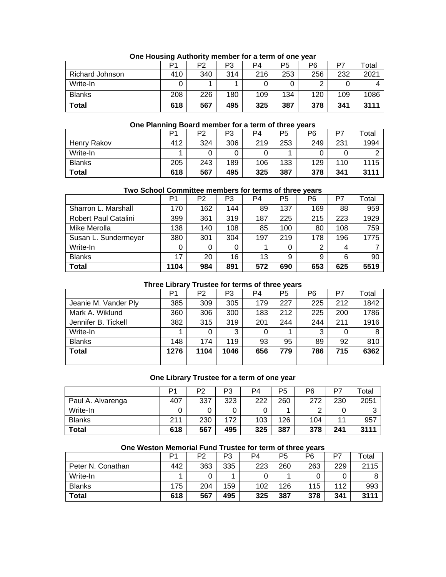|                        | D1  | P2  | P3  | P4  | P5  | P6  | P7  | $\tau$ otal |
|------------------------|-----|-----|-----|-----|-----|-----|-----|-------------|
| <b>Richard Johnson</b> | 410 | 340 | 314 | 216 | 253 | 256 | 232 | 2021        |
| Write-In               |     |     |     |     |     | ⌒   | 0   |             |
| <b>Blanks</b>          | 208 | 226 | 180 | 109 | 134 | 120 | 109 | 1086        |
| Total                  | 618 | 567 | 495 | 325 | 387 | 378 | 341 | 3111        |

## **One Housing Authority member for a term of one year**

#### **One Planning Board member for a term of three years**

|               | D1  | P2  | P3  | P <sub>4</sub> | P5  | P6  | D7  | Total |
|---------------|-----|-----|-----|----------------|-----|-----|-----|-------|
| Henry Rakov   | 412 | 324 | 306 | 219            | 253 | 249 | 231 | 1994  |
| Write-In      |     |     | 0   |                |     |     |     |       |
| <b>Blanks</b> | 205 | 243 | 189 | 106            | 133 | 129 | 110 | 1115  |
| Total         | 618 | 567 | 495 | 325            | 387 | 378 | 341 | 3111  |

#### **Two School Committee members for terms of three years**

|                             | P <sub>1</sub> | P2  | P3  | P4  | P <sub>5</sub> | P6  | P7  | Total |
|-----------------------------|----------------|-----|-----|-----|----------------|-----|-----|-------|
| Sharron L. Marshall         | 170            | 162 | 144 | 89  | 137            | 169 | 88  | 959   |
| <b>Robert Paul Catalini</b> | 399            | 361 | 319 | 187 | 225            | 215 | 223 | 1929  |
| Mike Merolla                | 138            | 140 | 108 | 85  | 100            | 80  | 108 | 759   |
| Susan L. Sundermeyer        | 380            | 301 | 304 | 197 | 219            | 178 | 196 | 1775  |
| Write-In                    | 0              | 0   | 0   |     | 0              | 2   | 4   |       |
| <b>Blanks</b>               | 17             | 20  | 16  | 13  | 9              | 9   | 6   | 90    |
| Total                       | 1104           | 984 | 891 | 572 | 690            | 653 | 625 | 5519  |

# **Three Library Trustee for terms of three years**

|                      | P1   | P <sub>2</sub> | P3   | P <sub>4</sub> | P <sub>5</sub> | P6  | P7  | Total |
|----------------------|------|----------------|------|----------------|----------------|-----|-----|-------|
| Jeanie M. Vander Ply | 385  | 309            | 305  | 179            | 227            | 225 | 212 | 1842  |
| Mark A. Wiklund      | 360  | 306            | 300  | 183            | 212            | 225 | 200 | 1786  |
| Jennifer B. Tickell  | 382  | 315            | 319  | 201            | 244            | 244 | 211 | 1916  |
| Write-In             |      |                | 3    |                |                | 3   |     | 8     |
| <b>Blanks</b>        | 148  | 174            | 119  | 93             | 95             | 89  | 92  | 810   |
| <b>Total</b>         | 1276 | 1104           | 1046 | 656            | 779            | 786 | 715 | 6362  |
|                      |      |                |      |                |                |     |     |       |

#### **One Library Trustee for a term of one year**

|                   | D1  | P <sub>2</sub> | P3  | P4  | P5  | P6  | P7  | Total |
|-------------------|-----|----------------|-----|-----|-----|-----|-----|-------|
| Paul A. Alvarenga | 407 | 337            | 323 | 222 | 260 | 272 | 230 | 2051  |
| Write-In          |     |                |     |     |     | ⌒   |     |       |
| <b>Blanks</b>     | 211 | 230            | 172 | 103 | 126 | 104 | 11  | 957   |
| <b>Total</b>      | 618 | 567            | 495 | 325 | 387 | 378 | 241 | 3111  |

# P1 | P2 | P3 | P4 | P5 | P6 | P7 | Total Peter N. Conathan | 442 | 363 | 335 | 223 | 260 | 263 | 229 | 2115 Write-In | 1 | 0 | 1 | 0 | 1 | 0 | 8 Blanks 175 204 159 102 126 115 112 993 **Total 618 567 495 325 387 378 341 3111**

#### **One Weston Memorial Fund Trustee for term of three years**